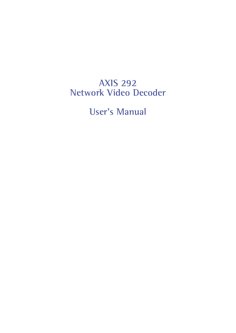# **AXIS 292 Network Video Decoder**

**User's Manual**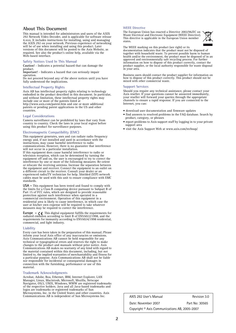### **About This Document**

This manual is intended for administrators and users of the AXIS 292 Network Video Decoder, and is applicable for software release 4.xxx. It includes instructions for installing, using and managing the AXIS 292 on your network. Previous experience of networking will be of use when installing and using this product. Later versions of this document will be posted to the Axis Website, as required. See also the product's online help, available via the Web-based interface.

#### **Safety Notices Used In This Manual**

**Caution!** - Indicates a potential hazard that can damage the product.

**Important!** - Indicates a hazard that can seriously impair operation.

Do not proceed beyond any of the above notices until you have fully understood the implications.

#### **Intellectual Property Rights**

Axis AB has intellectual property rights relating to technology embodied in the product described in this document. In particular, and without limitation, these intellectual property rights may include one or more of the patents listed at http://www.axis.com/patent.htm and one or more additional

patents or pending patent applications in the US and other countries.

#### **Legal Considerations**

Camera surveillance can be prohibited by laws that vary from called *selvemance* can be promoted by take that vary from country to country. Check the laws in your local region before using this product for surveillance purposes.

#### **Electromagnetic Compatibility (EMC)**

This equipment generates, uses and can radiate radio frequency energy and, if not installed and used in accordance with the instructions, may cause harmful interference to radio communications. However, there is no guarantee that interference

will not occur in a particular installation. If this equipment does cause harmful interference to radio or television reception, which can be determined by turning the equipment off and on, the user is encouraged to try to correct the interference by one or more of the following measures: Re-orient or relocate the receiving antenna. Increase the separation between the equipment and receiver. Connect the equipment to an outlet on a different circuit to the receiver. Consult your dealer or an experienced radio/TV technician for help. Shielded (STP) network cables must be used with this unit to ensure compliance with EMC standards.

**USA -** This equipment has been tested and found to comply with the limits for a Class B computing device pursuant to Subpart B of Part 15 of FCC rules, which are designed to provide reasonable protection against such interference when operated in a commercial environment. Operation of this equipment in a residential area is likely to cause interference, in which case the user at his/her own expense will be required to take whatever measures may be required to correct the interference.

**Europe -**  $\zeta$  This digital equipment fulfills the requirements for radiated emission according to limit B of EN55022/1998, and the requirements for immunity according to EN55024/1998 residential, commercial, and light industry.

#### **Liability**

technical or typographical errors and reserves the right to make Every care has been taken in the preparation of this manual; Please inform your local Axis office of any inaccuracies or omissions. Axis Communications AB cannot be held responsible for any changes to the product and manuals without prior notice. Axis Communications AB makes no warranty of any kind with regard to the material contained within this document, including, but not limited to, the implied warranties of merchantability and fitness for a particular purpose. Axis Communications AB shall not be liable nor responsible for incidental or consequential damages in connection with the furnishing, performance or use of this material.

#### **Trademark Acknowledgments**

Acrobat, Adobe, Boa, Ethernet, IBM, Internet Explorer, LAN Manager, Linux, Macintosh, Microsoft, Mozilla, Netscape Navigator, OS/2, UNIX, Windows, WWW are registered trademarks of the respective holders. Java and all Java-based trademarks and logos are trademarks or registered trademarks of Sun Microsystems, Inc. in the United States and other countries. Axis Communications AB is independent of Sun Microsystems Inc.

#### **WEEE Directive**

The European Union has enacted a Directive 2002/96/EC on Waste Electrical and Electronic Equipment (WEEE Directive). This directive is applicable in the European Union member states.



The WEEE marking on this product (see right) or its documentation indicates that the product must not be disposed of together with household waste. To prevent possible harm to human health and/or the environment, the product must be disposed of in an approved and environmentally safe recycling process. For further information on how to dispose of this product correctly, contact the product supplier, or the local authority responsible for waste disposal in your area.

Business users should contact the product supplier for information on how to dispose of this product correctly. This product should not be mixed with other commercial waste.

#### **Support Services**

Should you require any technical assistance, please contact your Axis reseller. If your questions cannot be answered immediately, your reseller will forward your queries through the appropriate channels to ensure a rapid response. If you are connected to the Internet, you can:

- download user documentation and firmware updates
- find answers to resolved problems in the FAQ database. Search by product, category, or phrases
- report problems to Axis support staff by logging in to your private support area
- visit the Axis Support Web at www.axis.com/techsup/

Date: November 2007 Part No: 30565 Copyright © Axis Communications AB, 2005-2007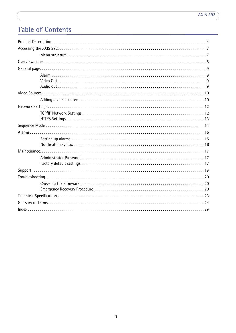# **Table of Contents**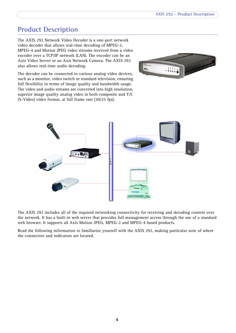# <span id="page-3-0"></span>**Product Description**

The AXIS 292 Network Video Decoder is a one-port network video decoder that allows real-time decoding of MPEG-2, MPEG-4 and Motion JPEG video streams received from a video encoder over a TCP/IP network (LAN). The encoder can be an Axis Video Server or an Axis Network Camera. The AXIS 292 also allows real-time audio decoding.

The decoder can be connected to various analog video devices, such as a monitor, video switch or standard television, ensuring full flexibility in terms of image quality and bandwidth usage. The video and audio streams are converted into high resolution, superior image quality analog video in both composite and Y/C (S-Video) video format, at full frame rate (30/25 fps).





The AXIS 292 includes all of the required networking connectivity for receiving and decoding content over the network. It has a built-in web server that provides full management access through the use of a standard web browser. It supports all Axis Motion JPEG, MPEG-2 and MPEG-4 based products.

Read the following information to familiarize yourself with the AXIS 292, making particular note of where the connectors and indicators are located.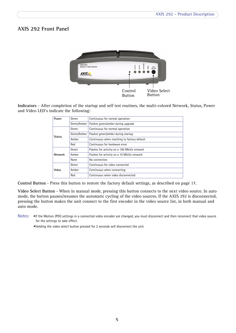# <span id="page-4-1"></span>**AXIS 292 Front Panel**



<span id="page-4-4"></span>**Indicators** - After completion of the startup and self test routines, the multi-colored Network, Status, Power and Video LED's indicate the following:

<span id="page-4-3"></span><span id="page-4-2"></span>

| Power          | Green       | Continuous for normal operation              |
|----------------|-------------|----------------------------------------------|
|                | Green/Amber | Flashes green/amber during upgrade           |
|                | Green       | Continuous for normal operation              |
| <b>Status</b>  | Green/Amber | Flashes green/amber during startup           |
|                | Amber       | Continuous when resetting to factory default |
|                | Red         | Continuous for hardware error                |
|                | Green       | Flashes for activity on a 100 Mbit/s network |
| <b>Network</b> | Amber       | Flashes for activity on a 10 Mbit/s network  |
|                | None        | No connection                                |
|                | Green       | Continuous for video connected               |
| Video          | Amber       | Continuous when connecting                   |
|                | Red         | Continuous when video disconnected           |

<span id="page-4-0"></span>**Control Button** - Press this button to restore the factory default settings, as described [on page 17.](#page-16-3)

<span id="page-4-5"></span>**Video Select Button** - When in manual mode, pressing this button connects to the next video source. In auto mode, the button pauses/resumes the automatic cycling of the video sources. If the AXIS 292 is disconnected, pressing the button makes the unit connect to the first encoder in the video source list, in both manual and auto mode.

**Notes:** •If the Motion JPEG settings in a connected video encoder are changed, you must disconnect and then reconnect that video source for the settings to take effect.

•Holding the video select button pressed for 2 seconds will disconnect the unit.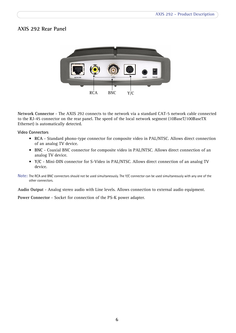## **AXIS 292 Rear Panel**



<span id="page-5-1"></span>**Network Connector** - The AXIS 292 connects to the network via a standard CAT-5 network cable connected to the RJ-45 connector on the rear panel. The speed of the local network segment (10BaseT/100BaseTX Ethernet) is automatically detected.

<span id="page-5-3"></span>**Video Connectors** 

- **RCA** Standard phono-type connector for composite video in PAL/NTSC. Allows direct connection of an analog TV device.
- **BNC** Coaxial BNC connector for composite video in PAL/NTSC. Allows direct connection of an analog TV device.
- **Y/C** Mini-DIN connector for S-Video in PAL/NTSC. Allows direct connection of an analog TV device.
- **Note:** The RCA and BNC connectors should not be used simultaneously. The Y/C connector can be used simultaneously with any one of the other connectors.

<span id="page-5-0"></span>**Audio Output** - Analog stereo audio with Line levels. Allows connection to external audio equipment.

<span id="page-5-2"></span>**Power Connector** - Socket for connection of the PS-K power adapter.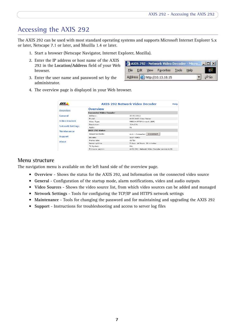# <span id="page-6-0"></span>**Accessing the AXIS 292**

The AXIS 292 can be used with most standard operating systems and supports Microsoft Internet Explorer 5.x or later, Netscape 7.1 or later, and Mozilla 1.4 or later.

- 1. Start a browser (Netscape Navigator, Internet Explorer, Mozilla).
- 2. Enter the IP address or host name of the AXIS 292 in the **Location/Address** field of your Web browser.
- 3. Enter the user name and password set by the administrator.

|  | AXIS 292 - Network Video Decoder - Micro         X |  |                                                             |
|--|----------------------------------------------------|--|-------------------------------------------------------------|
|  | File Edit View Favorites Tools Help                |  |                                                             |
|  | Address <b>b</b> http://10.13.18.15                |  | $\overline{\phantom{a}}$ $\phi$ Go $\overline{\phantom{a}}$ |

4. The overview page is displayed in your Web browser.

|                         |                                | <b>AXIS 292 Network Video Decoder</b>         | <b>Help</b> |
|-------------------------|--------------------------------|-----------------------------------------------|-------------|
| Overview                | Overview                       |                                               |             |
|                         | <b>Connected Video Encoder</b> |                                               |             |
| General                 | Address:                       | 10.92.132.1                                   |             |
|                         | Model:                         | AXIS 241S Video Server                        |             |
| <b>Video Sources</b>    | Video Type:                    | MPEG-4 RTSP Unicast (UDP)                     |             |
|                         | Resolution:                    | 704×576                                       |             |
| <b>Network Settings</b> | Audio:                         | No.                                           |             |
| <b>Maintenance</b>      | <b>AXIS 292 Status</b>         |                                               |             |
|                         | Sequence mode:                 | Disconnect<br>Auto - Connected                |             |
| <b>Support</b>          | Bit rate:                      | 1617 Kbit/s                                   |             |
| Ahnut                   | Frame rate:                    | $18$ fps                                      |             |
|                         | Server uptime:                 | 5 days 16 hours 38 minutes                    |             |
|                         | TV System:                     | <b>PAL</b>                                    |             |
|                         | Firmware version:              | AXIS 292 - Network Video Decoder version 4.20 |             |

## <span id="page-6-1"></span>**Menu structure**

The navigation menu is available on the left hand side of the overview page.

- **Overview** Shows the status for the AXIS 292, and Information on the connected video source
- **General** Configuration of the startup mode, alarm notifications, video and audio outputs
- **Video Sources** Shows the video source list, from which video sources can be added and managed
- **Network Settings** Tools for configuring the TCP/IP and HTTPS network settings
- **Maintenance** Tools for changing the password and for maintaining and upgrading the AXIS 292
- **Support** Instructions for troubleshooting and access to server log files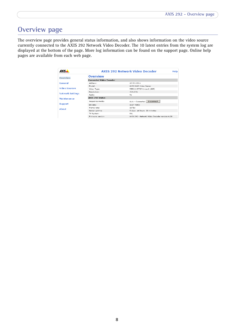# <span id="page-7-1"></span><span id="page-7-0"></span>**Overview page**

The overview page provides general status information, and also shows information on the video source currently connected to the AXIS 292 Network Video Decoder. The 10 latest entries from the system log are displayed at the bottom of the page. More log information can be found on the support page. Online help pages are available from each web page.

|                         |                                | <b>AXIS 292 Network Video Decoder</b>         | <b>Help</b> |
|-------------------------|--------------------------------|-----------------------------------------------|-------------|
| Overview                | Overview                       |                                               |             |
|                         | <b>Connected Video Encoder</b> |                                               |             |
| General                 | Address:                       | 10.92.132.1                                   |             |
|                         | Model:                         | AXIS 241S Video Server                        |             |
| <b>Video Sources</b>    | Video Type:                    | MPEG-4 RTSP Unicast (UDP)                     |             |
|                         | Resolution:                    | 704×576                                       |             |
| <b>Network Settings</b> | Audio:                         | No.                                           |             |
| <b>Maintenance</b>      | AXIS 292 Status                |                                               |             |
|                         | Sequence mode:                 | Disconnect<br>Auto - Connected                |             |
| <b>Support</b>          | Bit rate:                      | 1617 Kbit/s                                   |             |
| Ahnut                   | Frame rate:                    | 18 fps                                        |             |
|                         | Server uptime:                 | 5 days 16 hours 38 minutes                    |             |
|                         | TV System:                     | PAL.                                          |             |
|                         | Firmware version:              | AXIS 292 - Network Video Decoder version 4.20 |             |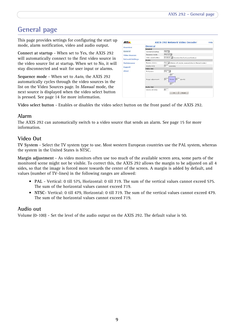# <span id="page-8-0"></span>**General page**

This page provides settings for configuring the start up mode, alarm notification, video and audio output.

**Connect at startup** - When set to Yes, the AXIS 292 will automatically connect to the first video source in the video source list at startup. When set to No, it will stay disconnected and wait for user input or alarms.

**Sequence mode** - When set to *Auto*, the AXIS 292 automatically cycles through the video sources in the list on the Video Sources page. In *Manual* mode, the next source is displayed when the video select button is pressed. See [page 14](#page-13-0) for more information.

| AXIS.                   |                      | <b>AXIS 292 Network Video Decoder</b>                     | Help |
|-------------------------|----------------------|-----------------------------------------------------------|------|
| Overview                | General              |                                                           |      |
|                         | General              |                                                           |      |
| General                 | Connect at startup:  | $Y41 -$                                                   |      |
| <b>Video Sources</b>    | Sequence mode:       | Manual V                                                  |      |
|                         | Video select button: | Enabled - (Controls the front panel button)               |      |
| <b>Network Settings</b> | <b>Alarm</b>         |                                                           |      |
| Maintenance             | Receive alarms:      | Yes x (Alarms vill only be received when in Manual mode.) |      |
| Support                 | Display time:        | (seconds)<br>30                                           |      |
|                         | Video Dut            |                                                           |      |
| About                   | TV System:           | DAL W                                                     |      |
|                         | Margin adjustment:   | 29<br>36<br>36 (pixels)<br><b>Šerean</b><br>29            |      |
|                         | <b>Audio Out</b>     |                                                           |      |
|                         | Volume (0-100):      | 50<br>OK.<br>Reset                                        |      |

**Video select button** - Enables or disables the video select button on the front panel of the AXIS 292.

## <span id="page-8-1"></span>**Alarm**

The AXIS 292 can automatically switch to a video source that sends an alarm. See [page 15](#page-14-0) for more information.

# <span id="page-8-2"></span>**Video Out**

**TV System** - Select the TV system type to use. Most western European countries use the PAL system, whereas the system in the United States is NTSC.

**Margin adjustment** - As video monitors often use too much of the available screen area, some parts of the monitored scene might not be visible. To correct this, the AXIS 292 allows the margin to be adjusted on all 4 sides, so that the image is forced more towards the center of the screen. A margin is added by default, and values (number of TV-lines) in the following ranges are allowed:

- **PAL** Vertical: 0 till 575, Horizontal: 0 till 719. The sum of the vertical values cannot exceed 575. The sum of the horizontal values cannot exceed 719.
- **NTSC** Vertical: 0 till 479, Horizontal: 0 till 719. The sum of the vertical values cannot exceed 479. The sum of the horizontal values cannot exceed 719.

## <span id="page-8-3"></span>**Audio out**

Volume (0-100) - Set the level of the audio output on the AXIS 292. The default value is 50.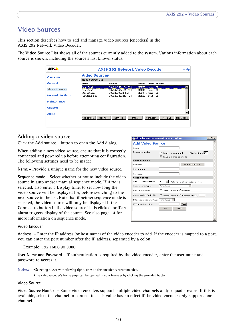# <span id="page-9-0"></span>**Video Sources**

This section describes how to add and manage video sources (encoders) in the AXIS 292 Network Video Decoder.

The **Video Source List** shows all of the sources currently added to the system. Various information about each source is shown, including the source's last known status.

|                         |                          | <b>AXIS 292 Network Video Decoder</b> |                              | <b>Help</b>          |
|-------------------------|--------------------------|---------------------------------------|------------------------------|----------------------|
| Overview                | <b>Video Sources</b>     |                                       |                              |                      |
|                         | Video Source List        |                                       |                              |                      |
| General                 | Name                     | <b>Source</b>                         | Video                        | <b>Audio Status</b>  |
|                         | DoorCaml                 | 10.92.152.104 [1]                     | <b>MJPEG</b><br>none.        | $_{0K}$              |
| <b>Video Sources</b>    | DoorCam2                 | 10.92.152.105 [1]                     | MJPEG<br>none                | ΩK                   |
| <b>Network Settings</b> | Reception<br>Loading Bay | 10.92.139.2 [1]<br>10.92.142.212 [1]  | MPEG-4 none<br>MJPEG<br>q711 | 0K<br>0K             |
| <b>Maintenance</b>      |                          |                                       |                              |                      |
| <b>Support</b>          |                          |                                       |                              |                      |
| About                   |                          |                                       |                              |                      |
|                         | Add source               | Info<br>Modify<br>Remove              | Connect to                   | Move up<br>Move down |
|                         |                          |                                       |                              |                      |
|                         |                          |                                       |                              |                      |

## <span id="page-9-2"></span><span id="page-9-1"></span>**Adding a video source**

Click the **Add source...** button to open the **Add** dialog.

When adding a new video source, ensure that it is correctly connected and powered up before attempting configuration. The following settings need to be made:

<span id="page-9-3"></span>**Name -** Provide a unique name for the new video source.

**Sequence mode -** Select whether or not to include the video source in auto and/or manual sequence mode. If *Auto* is selected, also enter a Display time, to set how long the video source will be displayed for, before switching to the next source in the list. Note that if neither sequence mode is selected, the video source will only be displayed if the **Connect to** button in the video source list is clicked, or if an alarm triggers display of the source. See also [page 14](#page-13-0) for more information on sequence mode.

| Name:                                |                                                                              |
|--------------------------------------|------------------------------------------------------------------------------|
|                                      |                                                                              |
| Sequence mode:                       | ⊽<br>Display time: 15 s<br>Enable in auto mode<br>☞<br>Enable in manual mode |
| Video Encoder                        |                                                                              |
| Address:                             | Open in browser                                                              |
| User name:                           |                                                                              |
| Password:                            |                                                                              |
| Video Source                         |                                                                              |
| Video source number:                 | I1.<br>Valid for multiport video server)                                     |
| Video source type:                   | Autodetect                                                                   |
| Resolution (MJPEG):                  | C Encoder default C Custom                                                   |
| Compression (MJPEG):                 | C Encoder default C Custom (0-100)                                           |
| Interlace mode (MJPEG): Autodetect - |                                                                              |
| PTZ preset position:                 | Test                                                                         |
|                                      | Cancel<br>OK.                                                                |

#### **Video Encoder**

**Address -** Enter the IP address (or host name) of the video encoder to add. If the encoder is mapped to a port, you can enter the port number after the IP address, separated by a colon:

Example: 192.168.0.90:8080

**User Name and Password -** If authentication is required by the video encoder, enter the user name and password to access it.

**Notes:** •Selecting a user with viewing rights only on the encoder is recommended.

•The video encoder's home page can be opened in your browser by clicking the provided button.

### **Video Source**

**Video Source Number -** Some video encoders support multiple video channels and/or quad streams. If this is available, select the channel to connect to. This value has no effect if the video encoder only supports one channel.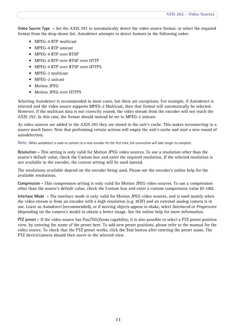<span id="page-10-3"></span>**Video Source Type -** Set the AXIS 292 to automatically detect the video source format, or select the required format from the drop-down list. Autodetect attempts to detect formats in the following order:

- MPEG-4 RTP multicast
- MPEG-4 RTP unicast
- MPEG-4 RTP over RTSP
- MPEG-4 RTP over RTSP over HTTP
- MPEG-4 RTP over RTSP over HTTPS
- MPEG-2 multicast
- MPEG-2 unicast
- Motion IPEG
- <span id="page-10-0"></span>• Motion JPEG over HTTPS

Selecting Autodetect is recommended in most cases, but there are exceptions. For example, if Autodetect is selected and the video source supports MPEG-2 Multicast, then that format will automatically be selected. However, if the multicast data is not correctly routed, the video stream from the encoder will not reach the AXIS 292. In this case, the format should instead be set to MPEG-2 unicast.

As video sources are added to the AXIS 292 they are stored in the unit's cache. This makes reconnecting to a source much faster. Note that performing certain actions will empty the unit's cache and start a new round of autodetection.

**Note:** When autodetect is used to connect to a new encoder for the first time, the connection will take longer to complete.

<span id="page-10-2"></span>**Resolution -** This setting is only valid for Motion JPEG video sources. To use a resolution other than the source's default value, check the Custom box and enter the required resolution. If the selected resolution is not available in the encoder, the current setting will be used instead.

The resolutions available depend on the encoder being used. Please see the encoder's online help for the available resolutions.

**Compression -** This compression setting is only valid for Motion JPEG video sources. To use a compression other than the source's default value, check the Custom box and enter a custom compression value (0-100).

<span id="page-10-1"></span>**Interlace Mode -** The interlace mode is only valid for Motion JPEG video sources, and is used mainly when the video stream is from an encoder with a high resolution (e.g. 4CIF) and an external analog camera is in use. Leave as *Autodetect* (recommended), or if moving objects appear to shake, select *Interlaced* or *Progressive* (depending on the camera's mode) to obtain a better image. See the online help for more information.

**PTZ preset -** If the video source has Pan/Tilt/Zoom capability, it is also possible to select a PTZ preset position view, by entering the name of the preset here. To add new preset positions, please refer to the manual for the video source. To check that the PTZ preset works, click the **Test** button after entering the preset name. The PTZ device/camera should then move to the selected view.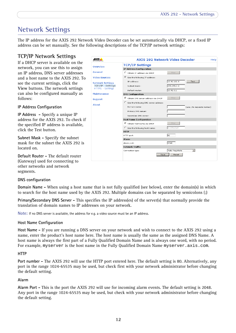# <span id="page-11-0"></span>**Network Settings**

The IP address for the AXIS 292 Network Video Decoder can be set automatically via DHCP, or a fixed IP address can be set manually. See the following descriptions of the TCP/IP network settings:

# <span id="page-11-9"></span><span id="page-11-1"></span>**TCP/IP Network Settings**

If a DHCP server is available on the network, you can use this to assign an IP address, DNS server addresses and a host name to the AXIS 292. To see the current settings, click the **View** buttons. The network settings can also be configured manually as follows:

### **IP Address Configuration**

<span id="page-11-6"></span>**IP Address -** Specify a unique IP address for the AXIS 292. To check if the specified IP address is available, click the Test button.

<span id="page-11-8"></span>**Subnet Mask -** Specify the subnet mask for the subnet the AXIS 292 is located on.

<span id="page-11-2"></span>**Default Router -** The default router (Gateway) used for connecting to other networks and network segments.

<span id="page-11-7"></span>

### <span id="page-11-3"></span>**DNS configuration**

**Domain Name -** When using a host name that is not fully qualified (see below), enter the domain(s) in which to search for the host name used by the AXIS 292. Multiple domains can be separated by semicolons (;)

**Primary/Secondary DNS Server -** This specifies the IP address(es) of the server(s) that normally provide the translation of domain names to IP addresses on your network.

**Note:** If no DNS server is available, the address for e.g. a video source must be an IP address.

### <span id="page-11-4"></span>**Host Name Configuration**

**Host Name -** If you are running a DNS server on your network and wish to connect to the AXIS 292 using a name, enter the product's host name here. The host name is usually the same as the assigned DNS Name. A host name is always the first part of a Fully Qualified Domain Name and is always one word, with no period. For example, myserver is the host name in the Fully Qualified Domain Name myserver.axis.com.

### <span id="page-11-5"></span>**HTTP**

**Port number -** The AXIS 292 will use the HTTP port entered here. The default setting is 80. Alternatively, any port in the range 1024-65535 may be used, but check first with your network administrator before changing the default setting.

### **Alarm**

**Alarm Port -** This is the port the AXIS 292 will use for incoming alarm events. The default setting is 2048. Any port in the range 1024-65535 may be used, but check with your network administrator before changing the default setting.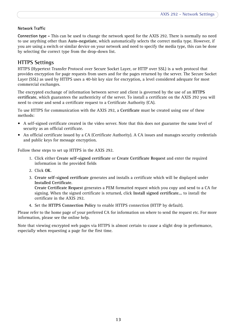### <span id="page-12-2"></span>**Network Traffic**

**Connection type -** This can be used to change the network speed for the AXIS 292. There is normally no need to use anything other than **Auto-negotiate**, which automatically selects the correct media type. However, if you are using a switch or similar device on your network and need to specify the media type, this can be done by selecting the correct type from the drop-down list.

## <span id="page-12-1"></span><span id="page-12-0"></span>**HTTPS Settings**

HTTPS (Hypertext Transfer Protocol over Secure Socket Layer, or HTTP over SSL) is a web protocol that provides encryption for page requests from users and for the pages returned by the server. The Secure Socket Layer (SSL) as used by HTTPS uses a 40-bit key size for encryption, a level considered adequate for most commercial exchanges.

The encrypted exchange of information between server and client is governed by the use of an **HTTPS certificate**, which guarantees the authenticity of the server. To install a certificate on the AXIS 292 you will need to create and send a certificate request to a Certificate Authority (CA).

To use HTTPS for communication with the AXIS 292, a **Certificate** must be created using one of these methods:

- A self-signed certificate created in the video server. Note that this does not guarantee the same level of security as an official certificate.
- An official certificate issued by a CA (Certificate Authority). A CA issues and manages security credentials and public keys for message encryption.

Follow these steps to set up HTTPS in the AXIS 292.

- 1. Click either **Create self-signed certificate** or **Create Certificate Request** and enter the required information in the provided fields
- 2. Click **OK**.
- 3. **Create self-signed certificate** generates and installs a certificate which will be displayed under **Installed Certificate**.

**Create Certificate Request** generates a PEM formatted request which you copy and send to a CA for signing. When the signed certificate is returned, click **Install signed certificate...** to install the certificate in the AXIS 292.

4. Set the **HTTPS Connection Policy** to enable HTTPS connection (HTTP by default).

Please refer to the home page of your preferred CA for information on where to send the request etc. For more information, please see the online help.

Note that viewing encrypted web pages via HTTPS is almost certain to cause a slight drop in performance, especially when requesting a page for the first time.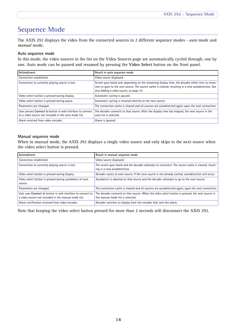# <span id="page-13-0"></span>**Sequence Mode**

<span id="page-13-3"></span>The AXIS 292 displays the video from the connected sources in 2 different sequence modes - *auto* mode and *manual* mode.

### <span id="page-13-1"></span>**Auto sequence mode**

In this mode, the video sources in the list on the Video Sources page are automatically cycled through, one by one. Auto mode can be paused and resumed by pressing the **Video Select** button on the front panel.

| Action/event                                                                                                        | Result in auto sequence mode                                                                                                                                                                                                                         |
|---------------------------------------------------------------------------------------------------------------------|------------------------------------------------------------------------------------------------------------------------------------------------------------------------------------------------------------------------------------------------------|
| Connection established.                                                                                             | Video source displayed.                                                                                                                                                                                                                              |
| Connection to currently playing source is lost.                                                                     | Screen goes blank and, depending on the remaining display time, the decoder either tries to recon-<br>nect or goes to the next source. The source cache is cleared, resulting in a new autodetection. See<br>also Adding a video source, on page 10. |
| Video select button is pressed during display.                                                                      | Automatic cycling is paused.                                                                                                                                                                                                                         |
| Video select button is pressed during pause.                                                                        | Automatic cycling is resumed directly at the next source.                                                                                                                                                                                            |
| Parameters are changed.                                                                                             | The connection cache is cleared and all sources are autodetected again upon the next connection.                                                                                                                                                     |
| User presses Connect to button in web interface to connect<br>to a video source not included in the auto mode list. | The decoder connects to that source. After the display time has elapsed, the next source in the<br>auto list is selected.                                                                                                                            |
| Alarm received from video encoder.                                                                                  | Alarm is ignored.                                                                                                                                                                                                                                    |

### <span id="page-13-2"></span>**Manual sequence mode**

When in manual mode, the AXIS 292 displays a single video source and only skips to the next source when the video select button is pressed.

| Action/event                                                                                                       | Result in manual sequence mode                                                                                                        |
|--------------------------------------------------------------------------------------------------------------------|---------------------------------------------------------------------------------------------------------------------------------------|
| Connection established.                                                                                            | Video source displayed.                                                                                                               |
| Connection to currently playing source is lost.                                                                    | The screen goes blank and the decoder attempts to reconnect. The source cache is cleared, result-<br>ing in a new autodetection.      |
| Video select button is pressed during display.                                                                     | Decoder cycles to next source. If the next source is not already cached, autodetection will occur.                                    |
| Video select button is pressed during autodetect of next<br>source.                                                | Autodetect is aborted on that source and the decoder attempts to go to the next source.                                               |
| Parameters are changed.                                                                                            | The connection cache is cleared and all sources are autodetected again, upon the next connection.                                     |
| User uses Connect to button in web interface to connect to<br>a video source not included in the manual mode list. | The decoder connects to that source. When the video select button is pressed, the next source in<br>the manual mode list is selected. |
| Alarm notification received from video encoder.                                                                    | Decoder switches to display from the encoder that sent the alarm.                                                                     |

Note that keeping the video select button pressed for more than 2 seconds will disconnect the AXIS 292.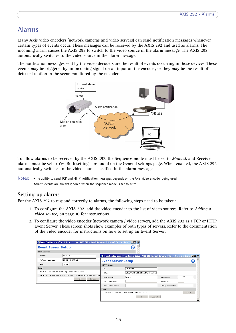# <span id="page-14-0"></span>**Alarms**

<span id="page-14-2"></span>Many Axis video encoders (network cameras and video servers) can send notification messages whenever certain types of events occur. These messages can be received by the AXIS 292 and used as alarms. The incoming alarm causes the AXIS 292 to switch to the video source in the alarm message. The AXIS 292 automatically switches to the video source in the alarm message.

<span id="page-14-3"></span>The notification messages sent by the video decoders are the result of events occurring in those devices. These events may be triggered by an incoming signal on an input on the encoder, or they may be the result of detected motion in the scene monitored by the encoder.



To allow alarms to be received by the AXIS 292, the **Sequence mode** must be set to *Manual*, and **Receive alarms** must be set to *Yes*. Both settings are found on the General settings page. When enabled, the AXIS 292 automatically switches to the video source specified in the alarm message.

## <span id="page-14-1"></span>**Setting up alarms**

For the AXIS 292 to respond correctly to alarms, the following steps need to be taken:

- 1. To configure the **AXIS 292**, add the video encoder to the list of video sources. Refer to *[Adding a](#page-9-1)  [video source,](#page-9-1)* on page 10 for instructions.
- 2. To configure the **video encoder** (network camera / video server), add the AXIS 292 as a TCP or HTTP Event Server. These screen shots show examples of both types of servers. Refer to the documentation of the video encoder for instructions on how to set up an **Event Server**.

|                           | Event Configuration/Event Server Setup - AXIS 210 Network Camera - Microsoft Internet Expl |                           | $-10x$                                                                                     |                 |        |              |
|---------------------------|--------------------------------------------------------------------------------------------|---------------------------|--------------------------------------------------------------------------------------------|-----------------|--------|--------------|
| <b>Event Server Setup</b> |                                                                                            |                           |                                                                                            |                 |        |              |
| <b>TCP Server</b>         |                                                                                            |                           |                                                                                            |                 |        |              |
| Name:                     | AXIS 292                                                                                   |                           | Fvent Configuration/Event Server Setup - AXIS 210 Network Camera - Microsoft Internet Expl |                 |        | $-10 \times$ |
| Network address:          | 192.168.254.10                                                                             | <b>Event Server Setup</b> |                                                                                            |                 |        |              |
| Port:                     | 2048                                                                                       | <b>HTTP Server</b>        |                                                                                            |                 |        |              |
| Test                      |                                                                                            | Name:                     | AXIS 292                                                                                   |                 |        |              |
|                           | Test the connection to the specified TCP server                                            | URL:                      | http://192.168.254.10/axis-cqi/adi                                                         |                 |        |              |
|                           | Note: A TCP server can only be used for notification and not upl<br>Cancel<br><b>OK</b>    | User name:                | user1                                                                                      | Password:       | ****** |              |
|                           |                                                                                            | Proxy address:            |                                                                                            | Proxy port:     |        |              |
|                           |                                                                                            | Proxy user name:          |                                                                                            | Proxy password: |        |              |
|                           |                                                                                            | Test                      |                                                                                            |                 |        |              |
|                           |                                                                                            |                           | Test the connection to the specified HTTP server                                           |                 | Test   |              |
|                           |                                                                                            |                           | OK.<br>Cancel                                                                              |                 |        |              |

**Notes:** •The ability to send TCP and HTTP notification messages depends on the Axis video encoder being used. •Alarm events are always ignored when the sequence mode is set to *Auto*.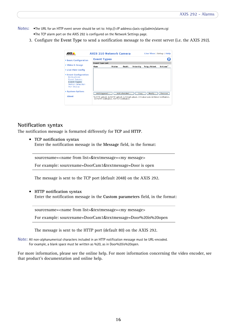- **Notes:** •The URL for an HTTP event server should be set to: http://<IP address>/axis-cgi/admin/alarm.cgi •The TCP alarm port on the AXIS 292 is configured on the Network Settings page.
	- 3. Configure the **Event Type** to send a notification message to the event server (i.e. the AXIS 292).



### <span id="page-15-0"></span>**Notification syntax**

The notification message is formatted differently for **TCP** and **HTTP**.

• **TCP notification syntax**  Enter the notification message in the **Message** field, in the format:

sourcename=<name from list>&textmessage=<my message>

For example: sourcename=DoorCam1&textmessage=Door is open

The message is sent to the TCP port (default 2048) on the AXIS 292.

• **HTTP notification syntax** Enter the notification message in the **Custom parameters** field, in the format:

sourcename=<name from list>&textmessage=<my message>

For example: sourcename=DoorCam1&textmessage=Door%20is%20open

The message is sent to the HTTP port (default 80) on the AXIS 292.

**Note:** All non-alphanumerical characters included in an HTTP notification message must be URL-encoded. For example, a blank space must be written as %20, as in Door%20is%20open.

For more information, please see the online help. For more information concerning the video encoder, see that product's documentation and online help.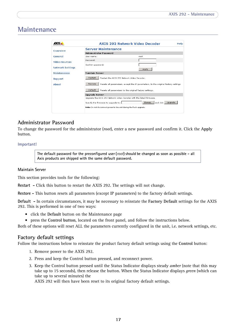# <span id="page-16-4"></span><span id="page-16-0"></span>**Maintenance**

|                         | AXIS 292 Network Video Decoder<br><b>Help</b>                                                 |                                 |  |  |
|-------------------------|-----------------------------------------------------------------------------------------------|---------------------------------|--|--|
| Overview                | <b>Server Maintenance</b>                                                                     |                                 |  |  |
|                         | <b>Administrator Password</b>                                                                 |                                 |  |  |
| General                 | User name:                                                                                    | root                            |  |  |
| <b>Video Sources</b>    | Password:                                                                                     |                                 |  |  |
|                         | Confirm password:                                                                             |                                 |  |  |
| <b>Network Settings</b> |                                                                                               | Apply                           |  |  |
| Maintenance             | <b>Maintain Server</b>                                                                        |                                 |  |  |
| <b>Support</b>          | Restart<br>Restart the AXIS 292 Network Video Decoder.                                        |                                 |  |  |
| Ahnut                   | Restore<br>Resets all parameters, except the IP parameters, to the original factory settings. |                                 |  |  |
|                         | Default.<br>Resets all parameters to the original factory settings.                           |                                 |  |  |
|                         | <b>Upgrade Server</b>                                                                         |                                 |  |  |
|                         | Upgrade the AXIS 292 Network Video Decoder with the latest firmware.                          |                                 |  |  |
|                         | Specify the firmware to upgrade to:                                                           | Browse<br>Upgrade<br>and dick I |  |  |
|                         | Note: Do not disconnect power to the unit during the flash upgrade.                           |                                 |  |  |

## <span id="page-16-1"></span>**Administrator Password**

To change the password for the administrator (*root*), enter a new password and confirm it. Click the **Apply** button.

### **Important!**

<span id="page-16-5"></span>**The default password for the preconfigured user (***root***) should be changed as soon as possible - all Axis products are shipped with the same default password.**

### **Maintain Server**

<span id="page-16-6"></span>This section provides tools for the following:

**Restart -** Click this button to restart the AXIS 292. The settings will not change.

**Restore -** This button resets all parameters (except IP parameters) to the factory default settings.

**Default -** In certain circumstances, it may be necessary to reinstate the **Factory Default** settings for the AXIS 292. This is performed in one of two ways:

- click the **Default** button on the Maintenance page
- press the **Control button**, located on the front panel, and follow the instructions below.

Both of these options will reset ALL the parameters currently configured in the unit, i.e. network settings, etc.

## <span id="page-16-3"></span><span id="page-16-2"></span>**Factory default settings**

Follow the instructions below to reinstate the product factory default settings using the **Control** button:

- 1. Remove power to the AXIS 292.
- 2. Press and keep the Control button pressed, and reconnect power.
- 3. Keep the Control button pressed until the Status Indicator displays steady *amber* (note that this may take up to 15 seconds), then release the button. When the Status Indicator displays *green* (which can take up to several minutes) the

AXIS 292 will then have been reset to its original factory default settings.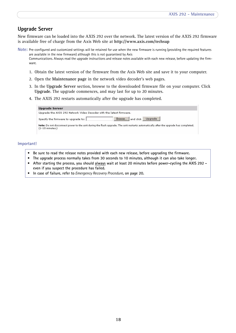# <span id="page-17-0"></span>**Upgrade Server**

New firmware can be loaded into the AXIS 292 over the network. The latest version of the AXIS 292 firmware is available free of charge from the Axis Web site at **http://www.axis.com/techsup**

**Note:** Pre-configured and customized settings will be retained for use when the new firmware is running (providing the required features are available in the new firmware) although this is not guaranteed by Axis Communications. Always read the upgrade instructions and release notes available with each new release, before updating the firmware.

- <span id="page-17-1"></span>1. Obtain the latest version of the firmware from the Axis Web site and save it to your computer.
- 2. Open the **Maintenance page** in the network video decoder's web pages.
- 3. In the **Upgrade Server** section, browse to the downloaded firmware file on your computer. Click **Upgrade**. The upgrade commences, and may last for up to 20 minutes.
- 4. The AXIS 292 restarts automatically after the upgrade has completed.

| <b>Upgrade Server</b>                                                |                                                                                                                                      |
|----------------------------------------------------------------------|--------------------------------------------------------------------------------------------------------------------------------------|
| Upgrade the AXIS 292 Network Video Decoder with the latest firmware. |                                                                                                                                      |
| Specify the firmware to upgrade to:                                  | Upgrade<br>Browse and click                                                                                                          |
| $(1 - 10$ minutes.)                                                  | Note: Do not disconnect power to the unit during the flash upgrade. The unit restarts automatically after the upgrade has completed. |

#### **Important!**

- **Be sure to read the release notes provided with each new release, before upgrading the firmware.**
- **The upgrade process normally takes from 30 seconds to 10 minutes, although it can also take longer.**
- **After starting the process, you should always wait at least 20 minutes before power-cycling the AXIS 292 even if you suspect the procedure has failed.**
- **In case of failure, refer to** *[Emergency Recovery Procedure](#page-19-3)***, on page 20.**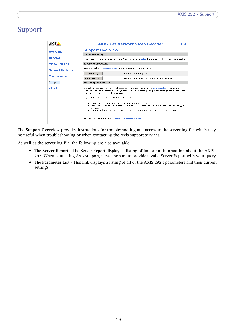# <span id="page-18-4"></span><span id="page-18-0"></span>**Support**

|                         | AXIS 292 Network Video Decoder<br>Help                                                                                                                                                                                                           |
|-------------------------|--------------------------------------------------------------------------------------------------------------------------------------------------------------------------------------------------------------------------------------------------|
| Overview                | <b>Support Overview</b>                                                                                                                                                                                                                          |
|                         | Troubleshooting                                                                                                                                                                                                                                  |
| General                 | If you have problems, please try the troubleshooting quide before contacting your local supplier.                                                                                                                                                |
| <b>Video Sources</b>    | Server Report/Logs                                                                                                                                                                                                                               |
| <b>Network Settings</b> | Always attach the Server Report when contacting your support channel.                                                                                                                                                                            |
|                         | Server Log<br>View the server log file.                                                                                                                                                                                                          |
| <b>Maintenance</b>      | Parameter List<br>View the parameters and their current settings.                                                                                                                                                                                |
| Support                 | <b>Axis Support Services</b>                                                                                                                                                                                                                     |
| Ahnut                   | Should you require any technical assistance, please contact your Axis reseller. If your questions<br>cannot be answered immediately, your reseller will forward your queries through the appropriate<br>channels to ensure a rapid response.     |
|                         | If you are connected to the Internet, you can:                                                                                                                                                                                                   |
|                         | . Download user documentation and firmware updates<br>. Find answers to resolved problems in the FAQ database. Search by product, category, or<br>phrases.<br>. Report problems to Axis support staff by logging in to your private support area |
|                         | Visit the Axis Support Web at www.axis.com/techsup/                                                                                                                                                                                              |

The **Support Overview** provides instructions for troubleshooting and access to the server log file which may be useful when troubleshooting or when contacting the Axis support services.

As well as the server log file, the following are also available:

- <span id="page-18-3"></span><span id="page-18-2"></span>• The **Server Report** - The Server Report displays a listing of important information about the AXIS 292. When contacting Axis support, please be sure to provide a valid Server Report with your query.
- <span id="page-18-1"></span>• The **Parameter List** - This link displays a listing of all of the AXIS 292's parameters and their current settings.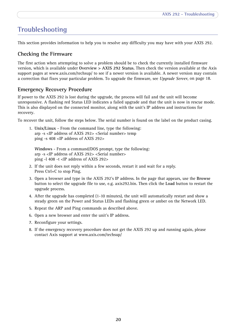# <span id="page-19-7"></span><span id="page-19-0"></span>**Troubleshooting**

This section provides information to help you to resolve any difficulty you may have with your AXIS 292.

# <span id="page-19-5"></span><span id="page-19-1"></span>**Checking the Firmware**

The first action when attempting to solve a problem should be to check the currently installed firmware version, which is available under **Overview > AXIS 292 Status.** Then check the version available at the Axis support pages at www.axis.com/techsup/ to see if a newer version is available. A newer version may contain a correction that fixes your particular problem. To upgrade the firmware, see *[Upgrade Server](#page-17-0)*, on page 18.

# <span id="page-19-6"></span><span id="page-19-4"></span><span id="page-19-3"></span><span id="page-19-2"></span>**Emergency Recovery Procedure**

If power to the AXIS 292 is lost during the upgrade, the process will fail and the unit will become unresponsive. A flashing red Status LED indicates a failed upgrade and that the unit is now in rescue mode. This is also displayed on the connected monitor, along with the unit's IP address and instructions for recovery.

To recover the unit, follow the steps below. The serial number is found on the label on the product casing.

1. **Unix/Linux** - From the command line, type the following: arp -s <IP address of AXIS 292> <Serial number> temp ping -s 408 <IP address of AXIS 292>

**Windows** - From a command/DOS prompt, type the following: arp -s <IP address of AXIS 292> <Serial number> ping -l 408 -t <IP address of AXIS 292>

- 2. If the unit does not reply within a few seconds, restart it and wait for a reply. Press Ctrl+C to stop Ping.
- 3. Open a browser and type in the AXIS 292's IP address. In the page that appears, use the **Browse** button to select the upgrade file to use, e.g. axis292.bin. Then click the **Load** button to restart the upgrade process.
- 4. After the upgrade has completed (1-10 minutes), the unit will automatically restart and show a steady green on the Power and Status LEDs and flashing green or amber on the Network LED.
- 5. Repeat the ARP and Ping commands as described above.
- 6. Open a new browser and enter the unit's IP address.
- 7. Reconfigure your settings.
- 8. If the emergency recovery procedure does not get the AXIS 292 up and running again, please contact Axis support at www.axis.com/techsup/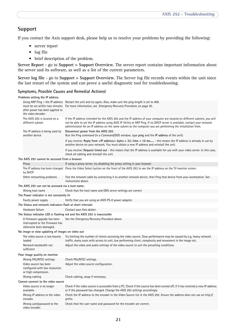# **Support**

If you contact the Axis support desk, please help us to resolve your problems by providing the following:

- server report
- log file
- brief description of the problem.

**Server Report** - go to **Support > Support Overview**. The server report contains important information about the server and its software, as well as a list of the current parameters.

**Server log file** - go to **Support > Support Overview**. The Server log file records events within the unit since the last restart of the system and can prove a useful diagnostic tool for troubleshooting.

### **Symptoms, Possible Causes and Remedial ActionsI**

|                                                                           | Problems setting the IP address                                                           |                                                                                                                                                                                                                                                                                                                                                                         |  |
|---------------------------------------------------------------------------|-------------------------------------------------------------------------------------------|-------------------------------------------------------------------------------------------------------------------------------------------------------------------------------------------------------------------------------------------------------------------------------------------------------------------------------------------------------------------------|--|
|                                                                           | must be set within two minutes<br>after power has been applied to<br>the video decoder.   | Using ARP Ping - the IP address Restart the unit and try again. Also, make sure the ping length is set to 408.<br>For more information, see Emergency Recovery Procedure, on page 20.                                                                                                                                                                                   |  |
|                                                                           | The AXIS 292 is located on a<br>different subnet.                                         | If the IP address intended for the AXIS 292 and the IP address of your computer are located on different subnets, you will<br>not be able to set the IP address using AXIS IP Utility or ARP Ping. If no DHCP server is available, contact your network<br>administrator for an IP address on the same subnet as the computer you are performing the installation from. |  |
|                                                                           | The IP address is being used by<br>another device                                         | Disconnect power from the AXIS 292.<br>Run the Ping command (in a Command/DOS window, type ping and the IP address of the unit).                                                                                                                                                                                                                                        |  |
|                                                                           |                                                                                           | If you receive: Reply from <ip address="">: bytes = 32; time = 10 ms - this means the IP address is already in use by<br/>another device on your network. You must obtain a new IP address and reinstall the unit.</ip>                                                                                                                                                 |  |
|                                                                           |                                                                                           | If you receive: Request timed out - this means that the IP address is available for use with your video server. In this case,<br>check all cabling and reinstall the unit.                                                                                                                                                                                              |  |
| The AXIS 292 cannot be accessed from a browser                            |                                                                                           |                                                                                                                                                                                                                                                                                                                                                                         |  |
|                                                                           | Proxy                                                                                     | If using a proxy server, try disabling the proxy setting in your browser                                                                                                                                                                                                                                                                                                |  |
|                                                                           | by DHCP                                                                                   | The IP address has been changed Press the Video Select button on the front of the AXIS 292 to see the IP address on the TV monitor screen.                                                                                                                                                                                                                              |  |
|                                                                           | Other networking problems                                                                 | Test the network cable by connecting it to another network device, then Ping that device from your workstation. See<br>instructions above.                                                                                                                                                                                                                              |  |
|                                                                           | The AXIS 292 can not be accessed via a host name.                                         |                                                                                                                                                                                                                                                                                                                                                                         |  |
|                                                                           | Wrong host name                                                                           | Check that the host name and DNS server settings are correct                                                                                                                                                                                                                                                                                                            |  |
| The Power indicator is not constantly lit                                 |                                                                                           |                                                                                                                                                                                                                                                                                                                                                                         |  |
|                                                                           | Faulty power supply                                                                       | Verify that you are using an AXIS PS-K power adapter.                                                                                                                                                                                                                                                                                                                   |  |
|                                                                           | The Status and network indicators flash at short intervals                                |                                                                                                                                                                                                                                                                                                                                                                         |  |
|                                                                           | Hardware failure                                                                          | Contact your Axis dealer.                                                                                                                                                                                                                                                                                                                                               |  |
| The Status indicator LED is flashing red and the AXIS 292 is inaccessible |                                                                                           |                                                                                                                                                                                                                                                                                                                                                                         |  |
|                                                                           | A firmware upgrade has been<br>interrupted or the firmware has<br>otherwise been damaged. | See the Emergency Recovery Procedure above.                                                                                                                                                                                                                                                                                                                             |  |
| No image or slow updating of images on video out                          |                                                                                           |                                                                                                                                                                                                                                                                                                                                                                         |  |
|                                                                           | The video source is too heavily<br>loaded                                                 | Try limiting the number of clients accessing the video source. Slow performance may be caused by e.g. heavy network<br>traffic, many users with access to unit, low performing client, complexity and movement in the image etc.                                                                                                                                        |  |
|                                                                           | Network bandwidth not<br>sufficient                                                       | Adjust the video and audio settings of the video source to suit the prevailing conditions.                                                                                                                                                                                                                                                                              |  |
| Poor image quality on monitor                                             |                                                                                           |                                                                                                                                                                                                                                                                                                                                                                         |  |
|                                                                           | Wrong PAL/NTSC settings                                                                   | Check PAL/NTSC settings.                                                                                                                                                                                                                                                                                                                                                |  |
|                                                                           | Video source has been<br>configured with low resolution<br>or high compression.           | Adjust the video source configuration.                                                                                                                                                                                                                                                                                                                                  |  |
|                                                                           | Wrong cabling                                                                             | Check cabling, swap if necessary.                                                                                                                                                                                                                                                                                                                                       |  |
|                                                                           | Cannot connect to the video source                                                        |                                                                                                                                                                                                                                                                                                                                                                         |  |
|                                                                           | Video source is no longer<br>available.                                                   | Check if the video source is accessible from a PC. Check if the source has been turned off, if it has received a new IP address<br>or if the password has changed. Change the AXIS 292 settings accordingly.                                                                                                                                                            |  |
|                                                                           | Wrong IP address to the video<br>encoder.                                                 | Check the IP address to the encoder in the Video Source list in the AXIS 292. Ensure the address does not use an http://<br>prefix.                                                                                                                                                                                                                                     |  |
|                                                                           | Wrong user/password to the<br>video encoder.                                              | Check that the user name and password for the encoder are correct.                                                                                                                                                                                                                                                                                                      |  |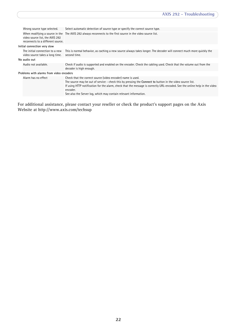|                                          | Wrong source type selected.                                          | Select automatic detection of source type or specify the correct source type.                                                                                                                                                                                                                                                                                                           |  |  |
|------------------------------------------|----------------------------------------------------------------------|-----------------------------------------------------------------------------------------------------------------------------------------------------------------------------------------------------------------------------------------------------------------------------------------------------------------------------------------------------------------------------------------|--|--|
|                                          | video source list, the AXIS 292<br>reconnects to a different source. | When modifying a source in the The AXIS 292 always reconnects to the first source in the video source list.                                                                                                                                                                                                                                                                             |  |  |
| Initial connection very slow             |                                                                      |                                                                                                                                                                                                                                                                                                                                                                                         |  |  |
|                                          | The initial connection to a new<br>video source takes a long time.   | This is normal behavior, as caching a new source always takes longer. The decoder will connect much more quickly the<br>second time.                                                                                                                                                                                                                                                    |  |  |
| No audio out                             |                                                                      |                                                                                                                                                                                                                                                                                                                                                                                         |  |  |
|                                          | Audio not available.                                                 | Check if audio is supported and enabled on the encoder. Check the cabling used. Check that the volume out from the<br>decoder is high enough.                                                                                                                                                                                                                                           |  |  |
| Problems with alarms from video encoders |                                                                      |                                                                                                                                                                                                                                                                                                                                                                                         |  |  |
|                                          | Alarm has no effect                                                  | Check that the correct source (video encoder) name is used.<br>The source may be out of service - check this by pressing the Connect to button in the video source list.<br>If using HTTP notification for the alarm, check that the message is correctly URL-encoded. See the online help in the video<br>encoder.<br>See also the Server log, which may contain relevant information. |  |  |

<span id="page-21-0"></span>For additional assistance, please contact your reseller or check the product's support pages on the Axis Website at http://www.axis.com/techsup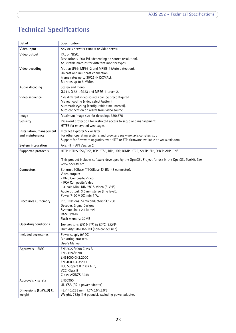# <span id="page-22-2"></span><span id="page-22-1"></span><span id="page-22-0"></span>**Technical Specifications**

| Detail                                      | Specification                                                                                                                                                                                                                         |
|---------------------------------------------|---------------------------------------------------------------------------------------------------------------------------------------------------------------------------------------------------------------------------------------|
| Video input                                 | Any Axis network camera or video server.                                                                                                                                                                                              |
| Video output                                | PAL or NTSC.<br>Resolution > 500 TVL (depending on source resolution).<br>Adjustable margins for different monitor types.                                                                                                             |
| Video decoding                              | Motion JPEG, MPEG-2 and MPEG-4 (Auto detection).<br>Unicast and multicast connection.<br>Frame rates up to 30/25 (NTSC/PAL).<br>Bit rates up to 8 Mbit/s.                                                                             |
| Audio decoding                              | Stereo and mono.<br>G.711, G.721, G723 and MPEG-1 Layer-2.                                                                                                                                                                            |
| Video sequence                              | 128 different video sources can be preconfigured.<br>Manual cycling (video select button).<br>Automatic cycling (configurable time interval).<br>Auto connection on alarm from video source.                                          |
| Image                                       | Maximum image size for decoding: 720x576                                                                                                                                                                                              |
| Security                                    | Password protection for restricted access to setup and management.<br>HTTPS for encrypted web pages.                                                                                                                                  |
| Installation, management<br>and maintenance | Internet Explorer 5.x or later.<br>For other operating systems and browsers see www.axis.com/techsup<br>Support for firmware upgrades over HTTP or FTP, firmware available at www.axis.com                                            |
| System integration                          | Axis HTTP API Version 2.                                                                                                                                                                                                              |
| Supported protocols                         | HTTP, HTTPS, SSL/TLS*, TCP, RTSP, RTP, UDP, IGMP, RTCP, SMTP, FTP, DHCP, ARP, DNS                                                                                                                                                     |
|                                             | *This product includes software developed by the OpenSSL Project for use in the OpenSSL Toolkit. See<br>www.openssl.org                                                                                                               |
| Connectors                                  | Ethernet 10Base-T/100Base-TX (RJ-45 connector).<br>Video output:<br>- BNC Composite Video<br>- RCA Composite Video<br>- 4-pole Mini-DIN Y/C S-Video (S-VHS)<br>Audio output: 3.5 mm stereo (line level).<br>Power 7-20 V DC, min 7 W. |
| Processors & memory                         | CPU: National Semiconductors SC1200<br>Decoder: Sigma Designs<br>System: Linux 2.4 kernel<br><b>RAM: 32MB</b><br>Flash memory: 32MB                                                                                                   |
| Operating conditions                        | Temperature: 5°C (41°F) to 50°C (122°F)<br>Humidity: 20-80% RH (non-condensing)                                                                                                                                                       |
| Included accessories                        | Power supply 9V DC.<br>Mounting brackets.<br>User's Manual.                                                                                                                                                                           |
| Approvals - EMC                             | EN55022/1998 Class B<br>EN55024/1998<br>EN61000-3-2:2000<br>EN61000-3-3:2000<br>FCC Subpart B Class A, B,<br><b>VCCI Class B</b><br>C-tick AS/NZS 3548                                                                                |
| Approvals - safety                          | EN60950<br>UL, CSA (PS-K power adapter)                                                                                                                                                                                               |
| Dimensions (HxWxD) &<br>weight              | 42x140x228 mm (1.7"x5.5"x8.9")<br>Weight: 732g (1.6 pounds), excluding power adapter.                                                                                                                                                 |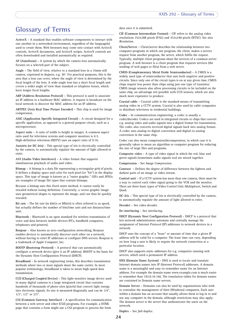# <span id="page-23-0"></span>**Glossary of Terms**

**ActiveX -** A standard that enables software components to interact with one another in a networked environment, regardless of the language(s) used to create them. Web browsers may come into contact with ActiveX controls, ActiveX documents, and ActiveX scripts. ActiveX controls are often downloaded and installed automatically as required.

**AF (Autofocus) -** A system by which the camera lens automatically focuses on a selected part of the subject.

**Angle -** The field of view, relative to a standard lens in a 35mm still camera, expressed in degrees, e.g. 30°. For practical purposes, this is the area that a lens can cover, where the angle of view is determined by the focal length of the lens. A wide-angle lens has a short focal length and covers a wider angle of view than standard or telephoto lenses, which have longer focal lengths.

**ARP (Address Resolution Protocol) -** This protocol is used to associate an IP address to a hardware MAC address. A request is broadcast on the local network to discover the MAC address for an IP address

**ARTPEC (Axis Real Time Picture Encoder) -** This chip is used for image compression.

**ASIC (Application Specific Integrated Circuit) -** A circuit designed for a specific application, as opposed to a general purpose circuit, such as a microprocessor.

**Aspect ratio -** A ratio of width to height in images. A common aspect ratio used for television screens and computer monitors is 4:3. High-definition television (HDTV) uses an aspect ratio of 9:16.

**Autoiris (or DC-Iris) -** This special type of iris is electrically controlled by the camera, to automatically regulate the amount of light allowed to enter.

**AVI (Audio Video Interleave) -** A video format that supports simultaneous playback of audio and video.

**Bitmap -** A bitmap is a data file representing a rectangular grid of pixels. It defines a display space and color for each pixel (or "bit") in the display space. This type of image is known as a "raster graphic." GIFs and JPEGs are examples of image file types that contain bitmaps.

Because a bitmap uses this fixed raster method, it cannot easily be rescaled without losing definition. Conversely, a vector graphic image uses geometrical shapes to represent the image, and can thus be quickly rescaled.

**Bit rate -** The bit rate (in kbit/s or Mbit/s) is often referred to as speed, but actually defines the number of bits/time unit and not distance/time unit.

**Bluetooth -** Bluetooth is an open standard for wireless transmission of voice and data between mobile devices (PCs, handheld computers, telephones and printers).

**Bonjour -** Also known as zero-configuration networking, Bonjour enables devices to automatically discover each other on a network, without having to enter IP addresses or configure DNS servers. Bonjour is a trademark of Apple Computer, Inc.

**BOOTP (Bootstrap Protocol) -** A protocol that can automatically configure a network device (give it an IP address). BOOTP is the basis for the Dynamic Host Configuration Protocol (DHCP).

**Broadband -** In network engineering terms, this describes transmission methods where two or more signals share the same carrier. In more popular terminology, broadband is taken to mean high-speed data transmission.

**CCD (Charged Coupled Device) -** This light-sensitive image device used in many digital cameras is a large integrated circuit that contains hundreds of thousands of photo-sites (pixels) that convert light energy into electronic signals. Its size is measured diagonally and can be 1/4", 1/3", 1/2" or 2/3".

**CGI (Common Gateway Interface) -** A specification for communication between a web server and other (CGI) programs. For example, a HTML page that contains a form might use a CGI program to process the form

data once it is submitted.

**CIF (Common Intermediate Format) -** CIF refers to the analog video resolutions 352x288 pixels (PAL) and 352x240 pixels (NTSC). See also *Resolution*.

**Client/Server -** Client/server describes the relationship between two computer programs in which one program, the client, makes a service request from another program, the server, which fulfils the request. Typically, multiple client programs share the services of a common server program. A web browser is a client program that requests services (the sending of web pages or files) from a web server.

**CMOS (Complementary Metal Oxide Semiconductor) -** A CMOS is a widely used type of semiconductor that uses both negative and positive circuits. Since only one of the circuit types is on at any given time, CMOS chips require less power than chips using just one type of transistor. CMOS image sensors also allow processing circuits to be included on the same chip, an advantage not possible with CCD sensors, which are also much more expensive to produce.

**Coaxial cable -** Coaxial cable is the standard means of transmitting analog video in a CCTV system. Coaxial is also used by cable companies to distribute television in residential buildings.

**Codec -** In communications engineering, a codec is usually a coder/decoder. Codecs are used in integrated circuits or chips that convert e.g. analog video and audio signals into a digital format for transmission. The codec also converts received digital signals back into analog format. A codec uses analog-to-digital conversion and digital-to-analog conversion in the same chip.

Codec can also mean compression/decompression, in which case it is generally taken to mean an algorithm or computer program for reducing the size of large files and programs.

**Composite video -** A type of video signal in which the red, blue and green signals (sometimes audio signals too) are mixed together.

**Compression -** See *Image Compression*.

**Contrast -** Defines the degree of difference between the lightest and darkest parts of an image or video stream.

**Control unit -** If a CCTV system has more than one camera, there must be a way to control each video signal going to the VCR and the monitor. There are three basic types of Video Control Unit; Multiplexer, Switch and Quad.

**DC-Iris -** This special type of iris is electrically controlled by the camera, to automatically regulate the amount of light allowed to enter.

**Decoder -** See *video decoder.*

**De-interlacing -** See *interlacing*.

**DHCP (Dynamic Host Configuration Protocol) -** DHCP is a protocol that lets network administrators automate and centrally manage the assignment of Internet Protocol (IP) addresses to network devices in a network.

DHCP uses the concept of a "lease" or amount of time that a given IP address will be valid for a computer. The lease time can vary, depending on how long a user is likely to require the network connection at a particular location.

DHCP also supports static addresses for e.g. computers running web servers, which need a permanent IP address.

**DNS (Domain Name System) -** DNS is used to locate and translate Internet domain names into IP (Internet Protocol) addresses. A domain name is a meaningful and easy-to-remember name for an Internet address. For example the domain name www.example.com is much easier to remember than 192.0.34.166. The translation tables for domain names are contained in Domain name servers.

**Domain Server -** Domains can also be used by organizations who wish to centralize the management of their (Windows) computers. Each user within a domain has an account that usually allows them to log in to and use any computer in the domain, although restrictions may also apply. The domain server is the server that authenticates the users on the network.

**Duplex -** See *full-duplex.*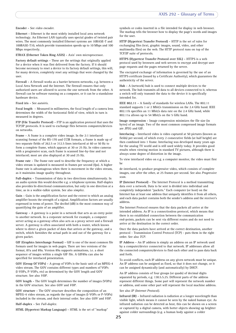#### **Encoder -** See *video encoder*.

**Ethernet -** Ethernet is the most widely installed local area network technology. An Ethernet LAN typically uses special grades of twisted pair wires. The most commonly installed Ethernet systems are 10BASE-T and 100BASE-T10, which provide transmission speeds up to 10 Mbps and 100 Mbps respectively.

#### **ETRAX (Ethernet Token Ring AXIS) -** Axis' own microprocessor.

**Factory default settings -** These are the settings that originally applied for a device when it was first delivered from the factory. If it should become necessary to reset a device to its factory default settings, this will, for many devices, completely reset any settings that were changed by the user.

**Firewall -** A firewall works as a barrier between networks, e.g. between a Local Area Network and the Internet. The firewall ensures that only authorized users are allowed to access the one network from the other. A firewall can be software running on a computer, or it can be a standalone hardware device.

**Fixed iris -** See *autoiris*.

**Focal length -** Measured in millimetres, the focal length of a camera lens determines the width of the horizontal field of view, which in turn is measured in degrees.

**FTP (File Transfer Protocol) -** FTP is an application protocol that uses the TCP/IP protocols. It is used to exchange files between computers/devices on networks.

**Frame -** A frame is a complete video image. In the 2:1 interlaced scanning format of the RS-170 and CCIR formats, a frame is made up of two separate fields of 262.5 or 312.5 lines interlaced at 60 or 50 Hz to form a complete frame, which appears at 30 or 25 Hz. In video cameras with a progressive scan, each frame is scanned line-by-line and not interlaced; most are also displayed at 30 and 25 Hz.

**Frame rate -** The frame rate used to describe the frequency at which a video stream is updated is measured in frames per second (fps). A higher frame rate is advantageous when there is movement in the video stream, as it maintains image quality throughout.

**Full-duplex -** Transmission of data in two directions simultaneously. In an audio system this would describe e.g. a telephone systems. Half-duplex also provides bi-directional communication, but only in one direction at a time, as in a walkie-talkie system. See also *simplex*.

**Gain -** Gain is the amplification factor and the extent to which an analog amplifier boosts the strength of a signal. Amplification factors are usually expressed in terms of power. The decibel (dB) is the most common way of quantifying the gain of an amplifier.

**Gateway -** A gateway is a point in a network that acts as an entry point to another network. In a corporate network for example, a computer server acting as a gateway often also acts as a proxy server and a firewall server. A gateway is often associated with both a router, which knows where to direct a given packet of data that arrives at the gateway, and a switch, which furnishes the actual path in and out of the gateway for a given packet.

**GIF (Graphics Interchange Format) -** GIF is one of the most common file formats used for images in web pages. There are two versions of the format, 87a and 89a. Version 89a supports animations, i.e. a short sequence of images within a single GIF file. A GIF89a can also be specified for interlaced presentation.

**GOV (Group Of VOPs) -** A group of VOPs is the basic unit of an MPEG-4 video stream. The GOV contains different types and numbers of VOPs (I-VOPs, P-VOPs, etc) as determined by the GOV length and GOV structure. See also *VOP*.

**GOV length -** The GOV length determines the number of images (VOPs) in the GOV structure. See also *GOV* and *VOP*.

**GOV structure -** The GOV structure describes the composition of an MPEG-4 video stream, as regards the type of images (I-VOPs or P-VOPs) included in the stream, and their internal order. See also *GOV* and *VOP*.

**Half-duplex -** See *Full-duplex*.

**HTML (Hypertext Markup Language) -** HTML is the set of "markup"

**HTTP (Hypertext Transfer Protocol) -** HTTP is the set of rules for exchanging files (text, graphic images, sound, video, and other multimedia files) on the web. The HTTP protocol runs on top of the TCP/IP suite of protocols.

**HTTPS (Hypertext Transfer Protocol over SSL) -** HTTPS is a web protocol used by browsers and web servers to encrypt and decrypt user page requests and the pages returned by the server.

The encrypted exchange of information is governed by the use of an HTTPS certificate (issued by a Certificate Authority), which guarantees the authenticity of the server.

**Hub -** A (network) hub is used to connect multiple devices to the network. The hub transmits all data to all devices connected to it, whereas a switch will only transmit the data to the device it is specifically intended for.

**IEEE 802.11 -** A family of standards for wireless LANs. The 802.11 standard supports 1 or 2 Mbit/s transmission on the 2.4 GHz band. IEEE 802.11b specifies an 11 Mbit/s data rate on the 2.4 GHz band, while 802.11a allows up to 54 Mbit/s on the 5 GHz band.

**Image compression -** Image compression minimizes the file size (in bytes) of an image. Two of the most common compressed image formats are JPEG and GIF.

**Interlacing -** Interlaced video is video captured at 50 pictures (known as fields) per second, of which every 2 consecutive fields (at half height) are then combined into 1 frame. Interlacing was developed many years ago for the analog TV world and is still used widely today. It provides good results when viewing motion in standard TV pictures, although there is always some degree of distortion in the image.

To view interlaced video on e.g. a computer monitor, the video must first be

de-interlaced, to produce progressive video, which consists of complete images, one after the other, at 25 frames per second. See also *Progressive scan*.

**IP (Internet Protocol) -** The Internet Protocol is a method transmitting data over a network. Data to be sent is divided into individual and completely independent "packets." Each computer (or host) on the Internet has at least one address that uniquely identifies it from all others, and each data packet contains both the sender's address and the receiver's address.

The Internet Protocol ensures that the data packets all arrive at the intended address. As IP is a connectionless protocol, which means that there is no established connection between the communication end-points, packets can be sent via different routes and do not need to arrive at the destination in the correct order.

Once the data packets have arrived at the correct destination, another protocol - Transmission Control Protocol (TCP) - puts them in the right order. See also *TCP*.

**IP Address -** An IP address is simply an address on an IP network used by a computer/device connected to that network. IP addresses allow all the connected computers/devices to find each other and to pass data back and forth.

To avoid conflicts, each IP address on any given network must be unique. An IP address can be assigned as fixed, so that it does not change, or it can be assigned dynamically (and automatically) by DHCP.

An IP address consists of four groups (or quads) of decimal digits separated by periods, e.g. 130.5.5.25. Different parts of the address represent different things. Some part will represent the network number or address, and some other part will represent the local machine address.

#### See also *IP (Internet Protocol).*

**Infrared (IR) -** Infrared radiation is radiation at a longer wavelength than visible light, which means it cannot be seen by the naked human eye. As infrared radiation can be detected as heat, this can be shown on a screen or captured by a digital camera, with hotter objects showing up brighter against colder surroundings (e.g. a human body against a colder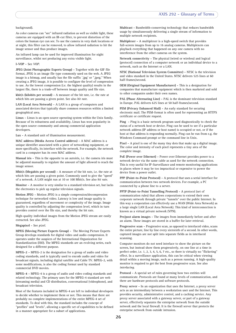#### background).

As color cameras can "see" infrared radiation as well as visible light, these cameras are equipped with an IR-cut filter, to prevent distortion of the colors the human eye can see. To use the camera in very dark locations or at night, this filter can be removed, to allow infrared radiation to hit the image sensor and thus produce images.

An infrared lamp can be used for improved illumination for night surveillance, whilst not producing any extra visible light.

#### **I-VOP -** See *VOP*.

**JPEG (Joint Photographic Experts Group) -** Together with the GIF file format, JPEG is an image file type commonly used on the web. A JPEG image is a bitmap, and usually has the file suffix '.jpg' or ".jpeg." When creating a JPEG image, it is possible to configure the level of compression to use. As the lowest compression (i.e. the highest quality) results in the largest file, there is a trade-off between image quality and file size.

**kbit/s (kilobits per second) -** A measure of the bit rate, i.e. the rate at which bits are passing a given point. See also *bit rate*.

**LAN (Local Area Network) -** A LAN is a group of computers and associated devices that typically share common resources within a limited geographical area.

**Linux -** Linux is an open source operating system within the Unix family. Because of its robustness and availability, Linux has won popularity in the open source community and among commercial application developers.

**Lux -** A standard unit of illumination measurement.

**MAC address (Media Access Control address) -** A MAC address is a unique identifier associated with a piece of networking equipment, or more specifically, its interface with the network. For example, the network card in a computer has its own MAC address.

**Manual iris -** This is the opposite to an autoiris, i.e. the camera iris must be adjusted manually to regulate the amount of light allowed to reach the image sensor.

**Mbit/s (Megabits per second) -** A measure of the bit rate, i.e. the rate at which bits are passing a given point. Commonly used to give the "speed" of a network. A LAN might run at 10 or 100 Mbit/s. See also *bit rate*.

**Monitor -** A monitor is very similar to a standard television set, but lacks the electronics to pick up regular television signals.

**Motion JPEG -** Motion JPEG is a simple compression/decompression technique for networked video. Latency is low and image quality is guaranteed, regardless of movement or complexity of the image. Image quality is controlled by adjusting the compression level, which in turn provides control over the file size, and thereby the bit rate.

High-quality individual images from the Motion JPEG stream are easily extracted. See also JPEG.

**Megapixel -** See *pixel*.

**MPEG (Moving Picture Experts Group) -** The Moving Picture Experts Group develops standards for digital video and audio compression. It operates under the auspices of the International Organization for Standardization (ISO). The MPEG standards are an evolving series, each designed for a different purpose.

**MPEG-2 -** MPEG-2 is the designation for a group of audio and video coding standards, and is typically used to encode audio and video for broadcast signals, including digital satellite and Cable TV. MPEG-2, with some modifications, is also the coding format used by standard commercial DVD movies.

**MPEG-4 -** MPEG-4 is a group of audio and video coding standards and related technology. The primary uses for the MPEG-4 standard are web (streaming media) and CD distribution, conversational (videophone), and broadcast television.

Most of the features included in MPEG-4 are left to individual developers to decide whether to implement them or not. This means that there are probably no complete implementations of the entire MPEG-4 set of standards. To deal with this, the standard includes the concept of "profiles" and "levels", allowing a specific set of capabilities to be defined in a manner appropriate for a subset of applications.

**Multicast -** Bandwidth-conserving technology that reduces bandwidth usage by simultaneously delivering a single stream of information to multiple network recipients.

**Multiplexer -** A multiplexer is a high-speed switch that provides full-screen images from up to 16 analog cameras. Multiplexers can playback everything that happened on any one camera with no interference from the other cameras on the system.

**Network connectivity -** The physical (wired or wireless) and logical (protocol) connection of a computer network or an individual device to a network, such as the Internet or a LAN.

**NTSC (National Television System Committee) -** NTSC is the television and video standard in the United States. NTSC delivers 525 lines at 60 half-frames/second.

**OEM (Original Equipment Manufacturer) -** This is a designation for companies that manufacture equipment which is then marketed and sold to other companies under their own names.

**PAL (Phase Alternating Line) -** PAL is the dominant television standard in Europe. PAL delivers 625 lines at 50 half-frames/second.

**PEM (Privacy Enhanced Mail) -** An early standard for securing electronic mail. The PEM-format is often used for representing an HTTPS certificate or certificate request.

**Ping -** Ping is a basic network program used diagnostically to check the status of a network host or device. Ping can be used to see if a particular network address (IP address or host name) is occupied or not, or if the host at that address is responding normally. Ping can be run from e.g. the Windows Command prompt or the command line in Unix.

**Pixel -** A pixel is one of the many tiny dots that make up a digital image. The color and intensity of each pixel represents a tiny area of the complete image.

**PoE (Power over Ethernet) -** Power over Ethernet provides power to a network device via the same cable as used for the network connection. This is very useful for IP-Surveillance and remote monitoring applications in places where it may be too impractical or expensive to power the device from a power outlet.

**PPP (Point-to-Point Protocol) -** A protocol that uses a serial interface for communication between two network devices. For example, a PC connected by a phone line to a server.

**PPTP (Point-to-Point Tunnelling Protocol) -** A protocol (set of communication rules) that allows corporations to extend their own corporate network through private "tunnels" over the public Internet. In this way a corporation can effectively use a WAN (Wide Area Network) as a large single LAN (Local Area Network). This kind of interconnection is known as a virtual private network (VPN).

**Pre/post alarm images -** The images from immediately before and after an alarm. These images are stored in a buffer for later retrieval.

**Progressive scan -** Progressive scan, as opposed to interlaced video, scans the entire picture, line by line every sixteenth of a second. In other words, captured images are not split into separate fields as in interlaced scanning.

Computer monitors do not need interlace to show the picture on the screen, but instead show them progressively, on one line at a time in perfect order, i.e. 1, 2, 3, 4, 5, 6, 7 etc., so there is virtually no "flickering" effect. In a surveillance application, this can be critical when viewing detail within a moving image, such as a person running. A high-quality monitor is required to get the best from progressive scan. See also *interlacing*.

**Protocol -** A special set of rules governing how two entities will communicate. Protocols are found at many levels of communication, and there are hardware protocols and software protocols.

**Proxy server -** In an organization that uses the Internet, a proxy server acts as an intermediary between a workstation user and the Internet. This provides security, administrative control, and a caching service. Any proxy server associated with a gateway server, or part of a gateway server, effectively separates the enterprise network from the outside network and the local firewall. It is the firewall server that protects the enterprise network from outside intrusion.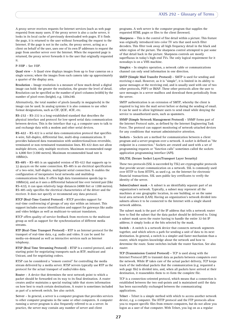A proxy server receives requests for Internet services (such as web page requests) from many users. If the proxy server is also a cache server, it looks in its local cache of previously downloaded web pages. If it finds the page, it is returned to the user without forwarding the request to the Internet. If the page is not in the cache, the proxy server, acting as a client on behalf of the user, uses one of its own IP addresses to request the page from another server over the Internet. When the requested page is returned, the proxy server forwards it to the user that originally requested it.

#### **P-VOP -** See *VOP*.

**Quad view -** A Quad view displays images from up to four cameras on a single screen; where the images from each camera take up approximately a quarter of the display area.

**Resolution -** Image resolution is a measure of how much detail a digital image can hold: the greater the resolution, the greater the level of detail. Resolution can be specified as the number of pixel-columns (width) by the number of pixel-rows (height), e.g. 320x240.

Alternatively, the total number of pixels (usually in megapixels) in the image can be used. In analog systems it is also common to use other format designations, such as CIF, QCIF, 4CIF, etc.

**RS-232 -** RS-232 is a long-established standard that describes the physical interface and protocol for low-speed serial data communication between devices. This is the interface that e.g. a computer uses to talk to and exchange data with a modem and other serial devices.

**RS-422 -** RS-422 is a serial data communication protocol that specifies 4-wire, full-duplex, differential line, multi-drop communications. It provides balanced data transmission with unidirectional/non-reversible, terminated or non-terminated transmission lines. RS-422 does not allow multiple drivers, only multiple receivers. Maximum recommended range is 4,000 feet (1200 meters). Maximum recommended baud rate is 10Mbit/s.

**RS-485 -** RS-485 is an upgraded version of RS-422 that supports up to 32 devices on the same connection. RS-485 is an electrical specification of a two-wire, half-duplex, multipoint serial connection. It enables the configuration of inexpensive local networks and multidrop communications links. It offers high data transmission speeds (up to 10Mbit/s), and as it uses a differential balanced line over twisted pair (like RS-422), it can span relatively large distances (4000 feet or 1200 metres). RS-485 only specifies the electrical characteristics of the driver and the receiver. It does not specify or recommend any data protocol.

**RTCP (Real-Time Control Protocol) -** RTCP provides support for real-time conferencing of groups of any size within an intranet. This support includes source identification and support for gateways like audio and video bridges as well as multicast-to-unicast translators.

RTCP offers quality-of-service feedback from receivers to the multicast group as well as support for the synchronization of different media streams.

**RTP (Real-Time Transport Protocol) -** RTP is an Internet protocol for the transport of real-time data, e.g. audio and video. It can be used for media-on-demand as well as interactive services such as Internet telephony.

**RTSP (Real Time Streaming Protocol) -** RTSP is a control protocol, and a starting point for negotiating transports such as RTP, multicast and Unicast, and for negotiating codecs.

RTSP can be considered a "remote control" for controlling the media stream delivered by a media server. RTSP servers typically use RTP as the protocol for the actual transport of audio/video data.

**Router -** A device that determines the next network point to which a packet should be forwarded on its way to its final destination. A router creates and/or maintains a special routing table that stores information on how best to reach certain destinations. A router is sometimes included as part of a network switch. See also *switch*.

**Server -** In general, a server is a computer program that provides services to other computer programs in the same or other computers. A computer running a server program is also frequently referred to as a server. In practice, the server may contain any number of server and client

programs. A web server is the computer program that supplies the requested HTML pages or files to the client (browser).

**Sharpness -** This is the control of fine detail within a picture. This feature was originally introduced into color TV sets that used notch filter decoders. This filter took away all high frequency detail in the black and white region of the picture. The sharpness control attempted to put some of that detail back in the picture. Sharpness controls are mostly superfluous in today's high-end TVs. The only logical requirement for it nowadays is on a VHS machine.

**Simplex -** In simplex operation, a network cable or communications channel can only send information in one direction.

**SMTP (Simple Mail Transfer Protocol) -** SMTP is used for sending and receiving e-mail. However, as it is "simple", it is limited in its ability to queue messages at the receiving end, and is usually used with one of two other protocols, POP3 or IMAP. These other protocols allow the user to save messages in a server mailbox and download them periodically from the server.

SMTP authentication is an extension of SMTP, whereby the client is required to log into the mail server before or during the sending of email. It can be used to allow legitimate users to send email while denying the service to unauthorized users, such as spammers.

**SNMP (Simple Network Management Protocol) -** SNMP forms part of the Internet Protocol suite, as defined by the Internet Engineering Task Force. The protocol can support monitoring of network-attached devices for any conditions that warrant administrative attention.

**Sockets -** Sockets are a method for communication between a client program and a server program over a network. A socket is defined as "the endpoint in a connection." Sockets are created and used with a set of programming requests or "function calls" sometimes called the sockets application programming interface (API).

#### **SSL/TSL (Secure Socket Layer/Transport Layer Security)**

These two protocols (SSL is succeeded by TSL) are cryptographic protocols that provide secure communication on a network. SSL is commonly used over HTTP to form HTTPS, as used e.g. on the Internet for electronic financial transactions. SSL uses public key certificates to verify the identity of the server.

**Subnet/subnet mask -** A subnet is an identifiably separate part of an organization's network. Typically, a subnet may represent all the machines at one geographic location, in one building, or on the same local area network (LAN). Having an organization's network divided into subnets allows it to be connected to the Internet with a single shared network address.

The subnet mask is the part of the IP address that tells a network router how to find the subnet that the data packet should be delivered to. Using a subnet mask saves the router having to handle the entire 32-bit IP address; it simply looks at the bits selected by the mask.

**Switch -** A switch is a network device that connects network segments together, and which selects a path for sending a unit of data to its next destination. In general, a switch is a simpler and faster mechanism than a router, which requires knowledge about the network and how to determine the route. Some switches include the router function. See also *router*.

**TCP (Transmission Control Protocol) -** TCP is used along with the Internet Protocol (IP) to transmit data as packets between computers over the network. While IP takes care of the actual packet delivery, TCP keeps track of the individual packets that the communication (e.g. requested a web page file) is divided into, and, when all packets have arrived at their destination, it reassembles them to re-form the complete file.

TCP is a connection-oriented protocol, which means that a connection is established between the two end-points and is maintained until the data has been successfully exchanged between the communicating applications.

**Telnet -** Telnet is a simple method with which to access another network device, e.g. a computer. The HTTP protocol and the FTP protocols allow you to request specific files from remote computers, but do not allow you logon as a user of that computer. With Telnet, you log on as a regular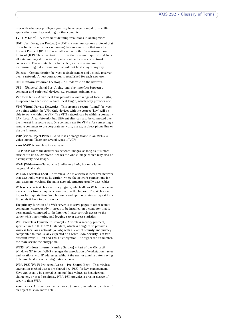user with whatever privileges you may have been granted for specific applications and data residing on that computer.

**TVL (TV Lines) -** A method of defining resolutions in analog video.

**UDP (User Datagram Protocol) -** UDP is a communications protocol that offers limited service for exchanging data in a network that uses the Internet Protocol (IP). UDP is an alternative to the Transmission Control Protocol (TCP). The advantage of UDP is that it is not required to deliver all data and may drop network packets when there is e.g. network congestion. This is suitable for live video, as there is no point in re-transmitting old information that will not be displayed anyway.

**Unicast -** Communication between a single sender and a single receiver over a network. A new connection is established for each new user.

**URL (Uniform Resource Locator) -** An "address" on the network.

**USB -** (Universal Serial Bus) A plug-and-play interface between a computer and peripheral devices, e.g. scanners, printers, etc.

**Varifocal lens -** A varifocal lens provides a wide range of focal lengths, as opposed to a lens with a fixed focal length, which only provides one.

**VPN (Virtual Private Network) -** This creates a secure "tunnel" between the points within the VPN. Only devices with the correct "key" will be able to work within the VPN. The VPN network can be within a company LAN (Local Area Network), but different sites can also be connected over the Internet in a secure way. One common use for VPN is for connecting a remote computer to the corporate network, via e.g. a direct phone line or via the Internet.

**VOP (Video Object Plane) -** A VOP is an image frame in an MPEG-4 video stream. There are several types of VOP:

- An I-VOP is complete image frame.

- A P-VOP codes the differences between images, as long as it is more efficient to do so. Otherwise it codes the whole image, which may also be a completely new image.

**WAN (Wide-Area-Network) -** Similar to a LAN, but on a larger geographical scale.

**W-LAN (Wireless LAN) -** A wireless LAN is a wireless local area network that uses radio waves as its carrier: where the network connections for end-users are wireless. The main network structure usually uses cables.

**Web server -** A Web server is a program, which allows Web browsers to retrieve files from computers connected to the Internet. The Web server listens for requests from Web browsers and upon receiving a request for a file sends it back to the browser.

The primary function of a Web server is to serve pages to other remote computers; consequently, it needs to be installed on a computer that is permanently connected to the Internet. It also controls access to the server whilst monitoring and logging server access statistics.

**WEP (Wireless Equivalent Privacy) -** A wireless security protocol, specified in the IEEE 802.11 standard, which is designed to provide a wireless local area network (WLAN) with a level of security and privacy comparable to that usually expected of a wired LAN. Security is at two different levels; 40-bit and 128-bit encryption. The higher the bit number, the more secure the encryption.

**WINS (Windows Internet Naming Service) -** Part of the Microsoft Windows NT Server, WINS manages the association of workstation names and locations with IP addresses, without the user or administrator having to be involved in each configuration change.

**WPA-PSK (Wi-Fi Protected Access - Pre-Shared Key) -** This wireless encryption method uses a pre-shared key (PSK) for key management. Keys can usually be entered as manual hex values, as hexadecimal characters, or as a Passphrase. WPA-PSK provides a greater degree of security than WEP.

**Zoom lens -** A zoom lens can be moved (zoomed) to enlarge the view of an object to show more detail.